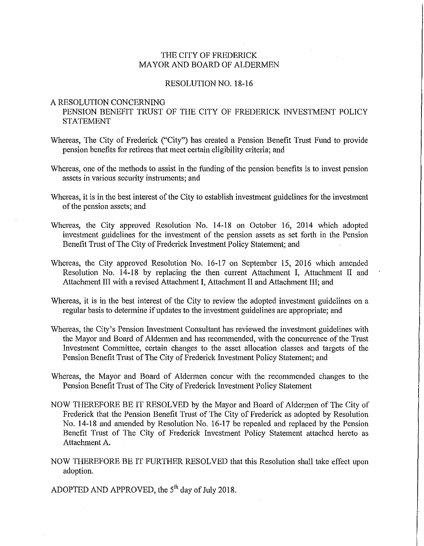#### THE CITY OF FREDERICK MAYOR AND BOARD OF ALDERMEN

#### RESOLUTION NO. 18-16

#### A RESOLUTION CONCERNING

PENSION BENEFIT TRUST OF THE CITY OF FREDERICK INVESTMENT POLICY STATEMENT

- Whereas, The City of Frederick ("City") has created a Pension Benefit Trust Fund to provide pension benefits for retirees that meet certain eligibility criteria; and
- Whereas, one of the methods to assist in the funding of the pension benefits is to invest pension assets in various security instruments; and
- Whereas, it is in the best interest of the City to establish investment guidelines for the investment of the pension assets; and
- Whereas, the City approved Resolution No. 14-18 on October 16, 2014 which adopted investment guidelines for the investment of the pension assets as set forth in the Pension Benefit Trust of The City of Frederick Investment Policy Statement; and
- Whereas, the City approved Resolution No. 16-17 on September 15, 2016 which amended Resolution No. 14-18 by replacing the then current Attachment **I,** Attachment II and Attachment III with a revised Attachment **I,** Attachment II and Attachment III; and
- Whereas, it is in the best interest of the City to review the adopted investment guidelines on a regular basis to determine if updates to the investment guidelines are appropriate; and
- Whereas, the City's Pension Investment Consultant has reviewed the investment guidelines with the Mayor and Board of Aldermen and has recommended, with the concurrence of the Trust Investment Committee, certain changes to the asset allocation classes and targets of the Pension Benefit Trust of The City of Frederick Investment Policy Statement; and
- Whereas, the Mayor and Board of Aldermen concur with the recommended changes to the Pension Benefit Trust of The City of Frederick Investment Policy Statement
- NOW THEREFORE BE IT RESOLVED by the Mayor and Board of Aldermen of The City of Frederick that the Pension Benefit Trust of The City of Frederick as adopted by Resolution No. 14-18 and amended by Resolntion No. 16-17 be repealed and replaced by the Pension Benefit Trust of The City of Frederick Investment Policy Statement attached hereto as Attachment A.
- NOW THEREFORE BE IT FURTHER RESOLVED that this Resolution shall take effect upon adoption.

ADOPTED AND APPROVED, the  $5<sup>th</sup>$  day of July 2018.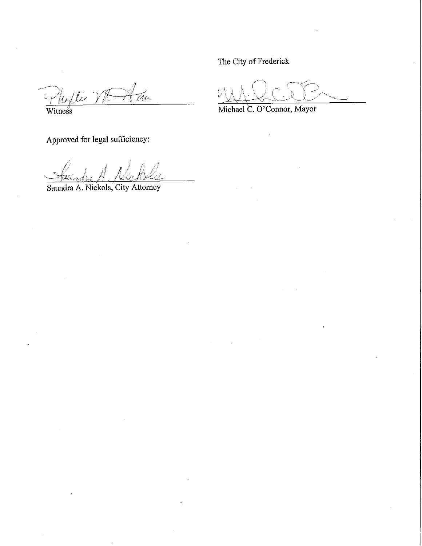The City of Frederick

Plyllie VR A du

Approved for legal sufficiency:

Saundra A. Nickols; City Attorney

Michael C. O'Connor, Mayor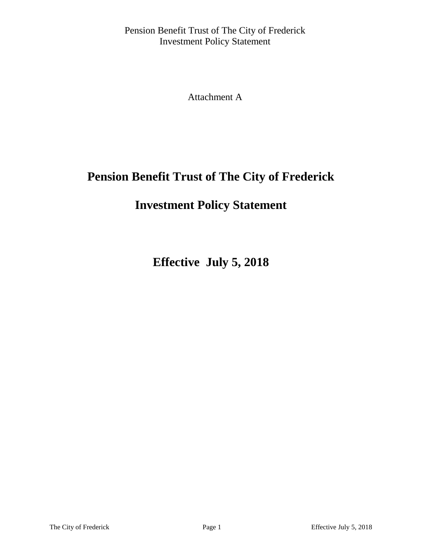Attachment A

# **Pension Benefit Trust of The City of Frederick**

# **Investment Policy Statement**

**Effective July 5, 2018**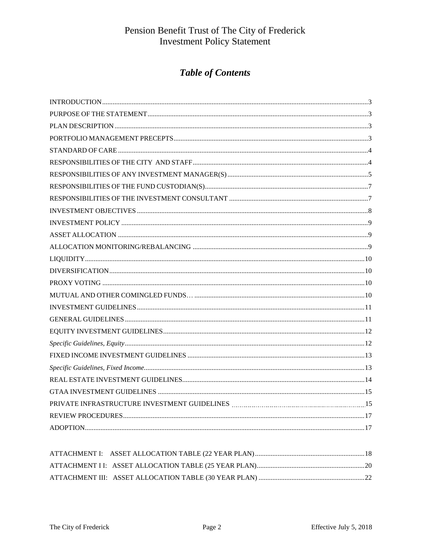## **Table of Contents**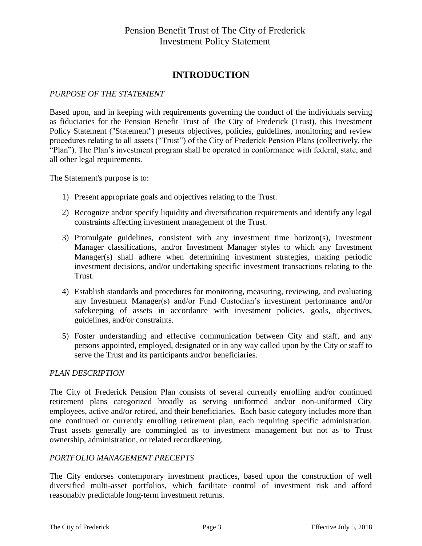### **INTRODUCTION**

#### *PURPOSE OF THE STATEMENT*

Based upon, and in keeping with requirements governing the conduct of the individuals serving as fiduciaries for the Pension Benefit Trust of The City of Frederick (Trust), this Investment Policy Statement ("Statement") presents objectives, policies, guidelines, monitoring and review procedures relating to all assets ("Trust") of the City of Frederick Pension Plans (collectively, the "Plan"). The Plan's investment program shall be operated in conformance with federal, state, and all other legal requirements.

The Statement's purpose is to:

- 1) Present appropriate goals and objectives relating to the Trust.
- 2) Recognize and/or specify liquidity and diversification requirements and identify any legal constraints affecting investment management of the Trust.
- 3) Promulgate guidelines, consistent with any investment time horizon(s), Investment Manager classifications, and/or Investment Manager styles to which any Investment Manager(s) shall adhere when determining investment strategies, making periodic investment decisions, and/or undertaking specific investment transactions relating to the Trust.
- 4) Establish standards and procedures for monitoring, measuring, reviewing, and evaluating any Investment Manager(s) and/or Fund Custodian's investment performance and/or safekeeping of assets in accordance with investment policies, goals, objectives, guidelines, and/or constraints.
- 5) Foster understanding and effective communication between City and staff, and any persons appointed, employed, designated or in any way called upon by the City or staff to serve the Trust and its participants and/or beneficiaries.

#### *PLAN DESCRIPTION*

The City of Frederick Pension Plan consists of several currently enrolling and/or continued retirement plans categorized broadly as serving uniformed and/or non-uniformed City employees, active and/or retired, and their beneficiaries. Each basic category includes more than one continued or currently enrolling retirement plan, each requiring specific administration. Trust assets generally are commingled as to investment management but not as to Trust ownership, administration, or related recordkeeping.

#### *PORTFOLIO MANAGEMENT PRECEPTS*

The City endorses contemporary investment practices, based upon the construction of well diversified multi-asset portfolios, which facilitate control of investment risk and afford reasonably predictable long-term investment returns.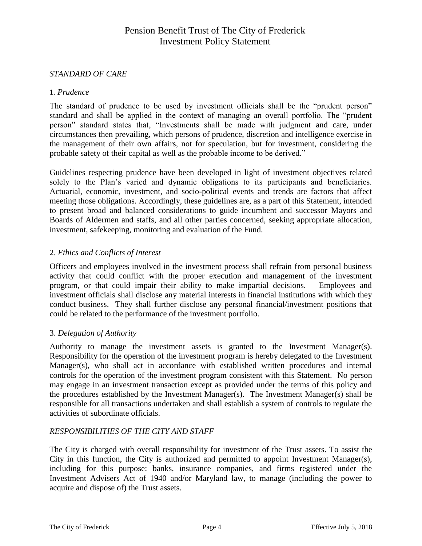#### *STANDARD OF CARE*

#### 1*. Prudence*

The standard of prudence to be used by investment officials shall be the "prudent person" standard and shall be applied in the context of managing an overall portfolio. The "prudent person" standard states that, "Investments shall be made with judgment and care, under circumstances then prevailing, which persons of prudence, discretion and intelligence exercise in the management of their own affairs, not for speculation, but for investment, considering the probable safety of their capital as well as the probable income to be derived."

Guidelines respecting prudence have been developed in light of investment objectives related solely to the Plan's varied and dynamic obligations to its participants and beneficiaries. Actuarial, economic, investment, and socio-political events and trends are factors that affect meeting those obligations. Accordingly, these guidelines are, as a part of this Statement, intended to present broad and balanced considerations to guide incumbent and successor Mayors and Boards of Aldermen and staffs, and all other parties concerned, seeking appropriate allocation, investment, safekeeping, monitoring and evaluation of the Fund.

#### 2. *Ethics and Conflicts of Interest*

Officers and employees involved in the investment process shall refrain from personal business activity that could conflict with the proper execution and management of the investment program, or that could impair their ability to make impartial decisions. Employees and investment officials shall disclose any material interests in financial institutions with which they conduct business. They shall further disclose any personal financial/investment positions that could be related to the performance of the investment portfolio.

#### 3. *Delegation of Authority*

Authority to manage the investment assets is granted to the Investment Manager(s). Responsibility for the operation of the investment program is hereby delegated to the Investment Manager(s), who shall act in accordance with established written procedures and internal controls for the operation of the investment program consistent with this Statement. No person may engage in an investment transaction except as provided under the terms of this policy and the procedures established by the Investment Manager(s). The Investment Manager(s) shall be responsible for all transactions undertaken and shall establish a system of controls to regulate the activities of subordinate officials.

#### *RESPONSIBILITIES OF THE CITY AND STAFF*

The City is charged with overall responsibility for investment of the Trust assets. To assist the City in this function, the City is authorized and permitted to appoint Investment Manager(s), including for this purpose: banks, insurance companies, and firms registered under the Investment Advisers Act of 1940 and/or Maryland law, to manage (including the power to acquire and dispose of) the Trust assets.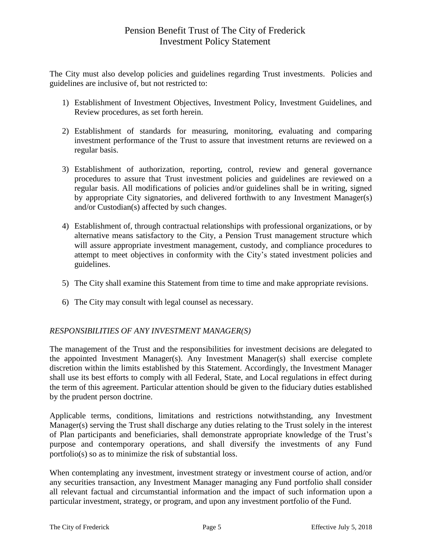The City must also develop policies and guidelines regarding Trust investments. Policies and guidelines are inclusive of, but not restricted to:

- 1) Establishment of Investment Objectives, Investment Policy, Investment Guidelines, and Review procedures, as set forth herein.
- 2) Establishment of standards for measuring, monitoring, evaluating and comparing investment performance of the Trust to assure that investment returns are reviewed on a regular basis.
- 3) Establishment of authorization, reporting, control, review and general governance procedures to assure that Trust investment policies and guidelines are reviewed on a regular basis. All modifications of policies and/or guidelines shall be in writing, signed by appropriate City signatories, and delivered forthwith to any Investment Manager(s) and/or Custodian(s) affected by such changes.
- 4) Establishment of, through contractual relationships with professional organizations, or by alternative means satisfactory to the City, a Pension Trust management structure which will assure appropriate investment management, custody, and compliance procedures to attempt to meet objectives in conformity with the City's stated investment policies and guidelines.
- 5) The City shall examine this Statement from time to time and make appropriate revisions.
- 6) The City may consult with legal counsel as necessary.

### *RESPONSIBILITIES OF ANY INVESTMENT MANAGER(S)*

The management of the Trust and the responsibilities for investment decisions are delegated to the appointed Investment Manager(s). Any Investment Manager(s) shall exercise complete discretion within the limits established by this Statement. Accordingly, the Investment Manager shall use its best efforts to comply with all Federal, State, and Local regulations in effect during the term of this agreement. Particular attention should be given to the fiduciary duties established by the prudent person doctrine.

Applicable terms, conditions, limitations and restrictions notwithstanding, any Investment Manager(s) serving the Trust shall discharge any duties relating to the Trust solely in the interest of Plan participants and beneficiaries, shall demonstrate appropriate knowledge of the Trust's purpose and contemporary operations, and shall diversify the investments of any Fund portfolio(s) so as to minimize the risk of substantial loss.

When contemplating any investment, investment strategy or investment course of action, and/or any securities transaction, any Investment Manager managing any Fund portfolio shall consider all relevant factual and circumstantial information and the impact of such information upon a particular investment, strategy, or program, and upon any investment portfolio of the Fund.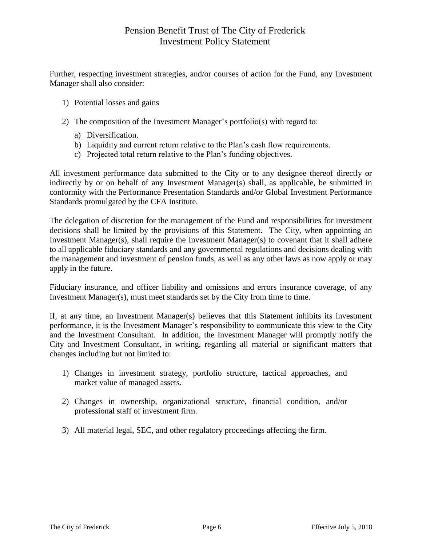Further, respecting investment strategies, and/or courses of action for the Fund, any Investment Manager shall also consider:

- 1) Potential losses and gains
- 2) The composition of the Investment Manager's portfolio(s) with regard to:
	- a) Diversification.
	- b) Liquidity and current return relative to the Plan's cash flow requirements.
	- c) Projected total return relative to the Plan's funding objectives.

All investment performance data submitted to the City or to any designee thereof directly or indirectly by or on behalf of any Investment Manager(s) shall, as applicable, be submitted in conformity with the Performance Presentation Standards and/or Global Investment Performance Standards promulgated by the CFA Institute.

The delegation of discretion for the management of the Fund and responsibilities for investment decisions shall be limited by the provisions of this Statement. The City, when appointing an Investment Manager(s), shall require the Investment Manager(s) to covenant that it shall adhere to all applicable fiduciary standards and any governmental regulations and decisions dealing with the management and investment of pension funds, as well as any other laws as now apply or may apply in the future.

Fiduciary insurance, and officer liability and omissions and errors insurance coverage, of any Investment Manager(s), must meet standards set by the City from time to time.

If, at any time, an Investment Manager(s) believes that this Statement inhibits its investment performance, it is the Investment Manager's responsibility to communicate this view to the City and the Investment Consultant. In addition, the Investment Manager will promptly notify the City and Investment Consultant, in writing, regarding all material or significant matters that changes including but not limited to:

- 1) Changes in investment strategy, portfolio structure, tactical approaches, and market value of managed assets.
- 2) Changes in ownership, organizational structure, financial condition, and/or professional staff of investment firm.
- 3) All material legal, SEC, and other regulatory proceedings affecting the firm.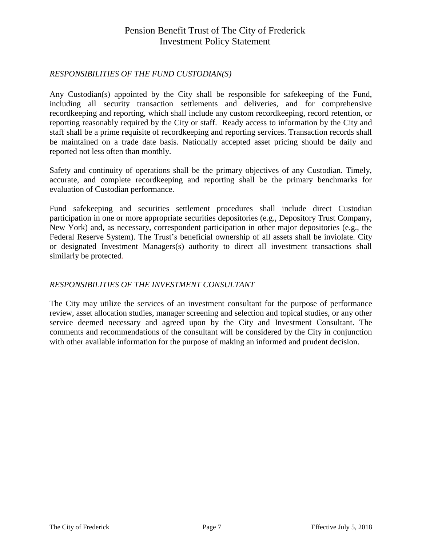### *RESPONSIBILITIES OF THE FUND CUSTODIAN(S)*

Any Custodian(s) appointed by the City shall be responsible for safekeeping of the Fund, including all security transaction settlements and deliveries, and for comprehensive recordkeeping and reporting, which shall include any custom recordkeeping, record retention, or reporting reasonably required by the City or staff. Ready access to information by the City and staff shall be a prime requisite of recordkeeping and reporting services. Transaction records shall be maintained on a trade date basis. Nationally accepted asset pricing should be daily and reported not less often than monthly.

Safety and continuity of operations shall be the primary objectives of any Custodian. Timely, accurate, and complete recordkeeping and reporting shall be the primary benchmarks for evaluation of Custodian performance.

Fund safekeeping and securities settlement procedures shall include direct Custodian participation in one or more appropriate securities depositories (e.g., Depository Trust Company, New York) and, as necessary, correspondent participation in other major depositories (e.g., the Federal Reserve System). The Trust's beneficial ownership of all assets shall be inviolate. City or designated Investment Managers(s) authority to direct all investment transactions shall similarly be protected.

### *RESPONSIBILITIES OF THE INVESTMENT CONSULTANT*

The City may utilize the services of an investment consultant for the purpose of performance review, asset allocation studies, manager screening and selection and topical studies, or any other service deemed necessary and agreed upon by the City and Investment Consultant. The comments and recommendations of the consultant will be considered by the City in conjunction with other available information for the purpose of making an informed and prudent decision.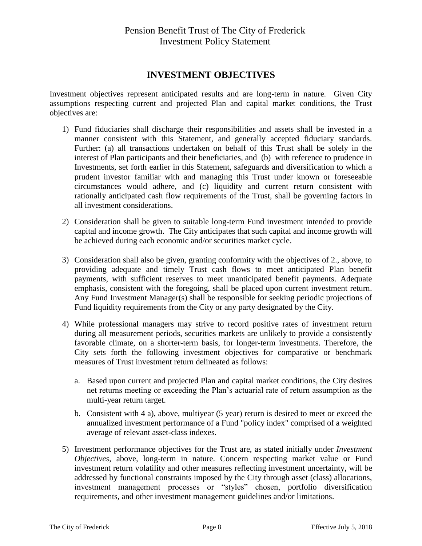## **INVESTMENT OBJECTIVES**

Investment objectives represent anticipated results and are long-term in nature. Given City assumptions respecting current and projected Plan and capital market conditions, the Trust objectives are:

- 1) Fund fiduciaries shall discharge their responsibilities and assets shall be invested in a manner consistent with this Statement, and generally accepted fiduciary standards. Further: (a) all transactions undertaken on behalf of this Trust shall be solely in the interest of Plan participants and their beneficiaries, and (b) with reference to prudence in Investments, set forth earlier in this Statement, safeguards and diversification to which a prudent investor familiar with and managing this Trust under known or foreseeable circumstances would adhere, and (c) liquidity and current return consistent with rationally anticipated cash flow requirements of the Trust, shall be governing factors in all investment considerations.
- 2) Consideration shall be given to suitable long-term Fund investment intended to provide capital and income growth. The City anticipates that such capital and income growth will be achieved during each economic and/or securities market cycle.
- 3) Consideration shall also be given, granting conformity with the objectives of 2., above, to providing adequate and timely Trust cash flows to meet anticipated Plan benefit payments, with sufficient reserves to meet unanticipated benefit payments. Adequate emphasis, consistent with the foregoing, shall be placed upon current investment return. Any Fund Investment Manager(s) shall be responsible for seeking periodic projections of Fund liquidity requirements from the City or any party designated by the City.
- 4) While professional managers may strive to record positive rates of investment return during all measurement periods, securities markets are unlikely to provide a consistently favorable climate, on a shorter-term basis, for longer-term investments. Therefore, the City sets forth the following investment objectives for comparative or benchmark measures of Trust investment return delineated as follows:
	- a. Based upon current and projected Plan and capital market conditions, the City desires net returns meeting or exceeding the Plan's actuarial rate of return assumption as the multi-year return target.
	- b. Consistent with 4 a), above, multiyear (5 year) return is desired to meet or exceed the annualized investment performance of a Fund "policy index" comprised of a weighted average of relevant asset-class indexes.
- 5) Investment performance objectives for the Trust are, as stated initially under *Investment Objectives*, above, long-term in nature. Concern respecting market value or Fund investment return volatility and other measures reflecting investment uncertainty, will be addressed by functional constraints imposed by the City through asset (class) allocations, investment management processes or "styles" chosen, portfolio diversification requirements, and other investment management guidelines and/or limitations.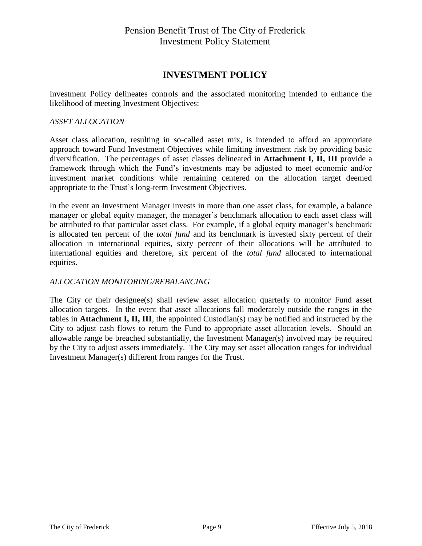### **INVESTMENT POLICY**

Investment Policy delineates controls and the associated monitoring intended to enhance the likelihood of meeting Investment Objectives:

#### *ASSET ALLOCATION*

Asset class allocation, resulting in so-called asset mix, is intended to afford an appropriate approach toward Fund Investment Objectives while limiting investment risk by providing basic diversification. The percentages of asset classes delineated in **Attachment I, II, III** provide a framework through which the Fund's investments may be adjusted to meet economic and/or investment market conditions while remaining centered on the allocation target deemed appropriate to the Trust's long-term Investment Objectives.

In the event an Investment Manager invests in more than one asset class, for example, a balance manager or global equity manager, the manager's benchmark allocation to each asset class will be attributed to that particular asset class. For example, if a global equity manager's benchmark is allocated ten percent of the *total fund* and its benchmark is invested sixty percent of their allocation in international equities, sixty percent of their allocations will be attributed to international equities and therefore, six percent of the *total fund* allocated to international equities.

#### *ALLOCATION MONITORING/REBALANCING*

The City or their designee(s) shall review asset allocation quarterly to monitor Fund asset allocation targets. In the event that asset allocations fall moderately outside the ranges in the tables in **Attachment I, II, III**, the appointed Custodian(s) may be notified and instructed by the City to adjust cash flows to return the Fund to appropriate asset allocation levels. Should an allowable range be breached substantially, the Investment Manager(s) involved may be required by the City to adjust assets immediately. The City may set asset allocation ranges for individual Investment Manager(s) different from ranges for the Trust.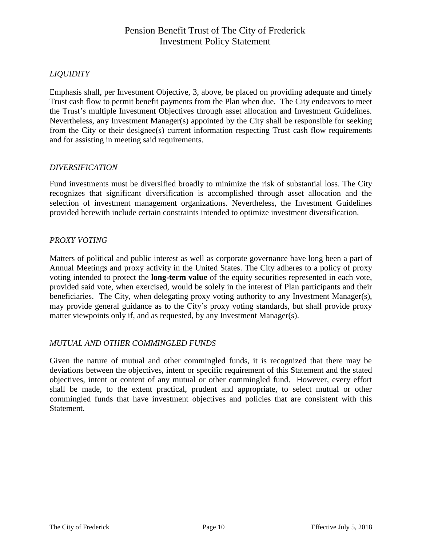### *LIQUIDITY*

Emphasis shall, per Investment Objective, 3, above, be placed on providing adequate and timely Trust cash flow to permit benefit payments from the Plan when due. The City endeavors to meet the Trust's multiple Investment Objectives through asset allocation and Investment Guidelines. Nevertheless, any Investment Manager(s) appointed by the City shall be responsible for seeking from the City or their designee(s) current information respecting Trust cash flow requirements and for assisting in meeting said requirements.

#### *DIVERSIFICATION*

Fund investments must be diversified broadly to minimize the risk of substantial loss. The City recognizes that significant diversification is accomplished through asset allocation and the selection of investment management organizations. Nevertheless, the Investment Guidelines provided herewith include certain constraints intended to optimize investment diversification.

#### *PROXY VOTING*

Matters of political and public interest as well as corporate governance have long been a part of Annual Meetings and proxy activity in the United States. The City adheres to a policy of proxy voting intended to protect the **long-term value** of the equity securities represented in each vote, provided said vote, when exercised, would be solely in the interest of Plan participants and their beneficiaries. The City, when delegating proxy voting authority to any Investment Manager(s), may provide general guidance as to the City's proxy voting standards, but shall provide proxy matter viewpoints only if, and as requested, by any Investment Manager(s).

#### *MUTUAL AND OTHER COMMINGLED FUNDS*

Given the nature of mutual and other commingled funds, it is recognized that there may be deviations between the objectives, intent or specific requirement of this Statement and the stated objectives, intent or content of any mutual or other commingled fund. However, every effort shall be made, to the extent practical, prudent and appropriate, to select mutual or other commingled funds that have investment objectives and policies that are consistent with this Statement.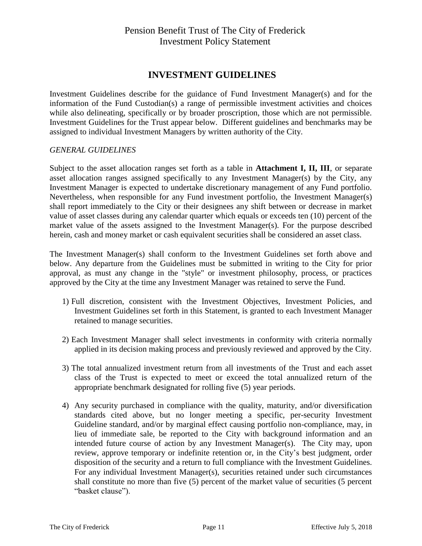### **INVESTMENT GUIDELINES**

Investment Guidelines describe for the guidance of Fund Investment Manager(s) and for the information of the Fund Custodian(s) a range of permissible investment activities and choices while also delineating, specifically or by broader proscription, those which are not permissible. Investment Guidelines for the Trust appear below. Different guidelines and benchmarks may be assigned to individual Investment Managers by written authority of the City.

#### *GENERAL GUIDELINES*

Subject to the asset allocation ranges set forth as a table in **Attachment I, II, III**, or separate asset allocation ranges assigned specifically to any Investment Manager(s) by the City, any Investment Manager is expected to undertake discretionary management of any Fund portfolio. Nevertheless, when responsible for any Fund investment portfolio, the Investment Manager(s) shall report immediately to the City or their designees any shift between or decrease in market value of asset classes during any calendar quarter which equals or exceeds ten (10) percent of the market value of the assets assigned to the Investment Manager(s). For the purpose described herein, cash and money market or cash equivalent securities shall be considered an asset class.

The Investment Manager(s) shall conform to the Investment Guidelines set forth above and below. Any departure from the Guidelines must be submitted in writing to the City for prior approval, as must any change in the "style" or investment philosophy, process, or practices approved by the City at the time any Investment Manager was retained to serve the Fund.

- 1) Full discretion, consistent with the Investment Objectives, Investment Policies, and Investment Guidelines set forth in this Statement, is granted to each Investment Manager retained to manage securities.
- 2) Each Investment Manager shall select investments in conformity with criteria normally applied in its decision making process and previously reviewed and approved by the City.
- 3) The total annualized investment return from all investments of the Trust and each asset class of the Trust is expected to meet or exceed the total annualized return of the appropriate benchmark designated for rolling five (5) year periods.
- 4) Any security purchased in compliance with the quality, maturity, and/or diversification standards cited above, but no longer meeting a specific, per-security Investment Guideline standard, and/or by marginal effect causing portfolio non-compliance, may, in lieu of immediate sale, be reported to the City with background information and an intended future course of action by any Investment Manager(s). The City may, upon review, approve temporary or indefinite retention or, in the City's best judgment, order disposition of the security and a return to full compliance with the Investment Guidelines. For any individual Investment Manager(s), securities retained under such circumstances shall constitute no more than five (5) percent of the market value of securities (5 percent "basket clause").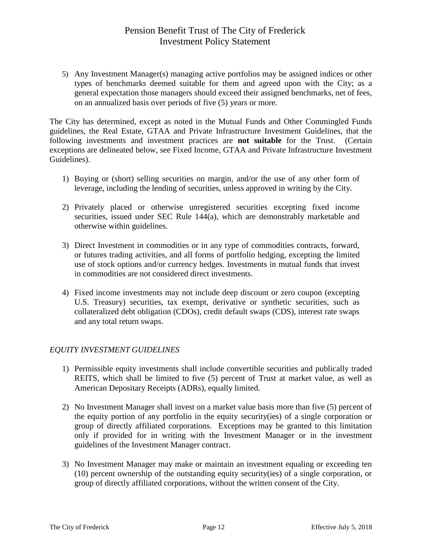5) Any Investment Manager(s) managing active portfolios may be assigned indices or other types of benchmarks deemed suitable for them and agreed upon with the City; as a general expectation those managers should exceed their assigned benchmarks, net of fees, on an annualized basis over periods of five (5) years or more.

The City has determined, except as noted in the Mutual Funds and Other Commingled Funds guidelines, the Real Estate, GTAA and Private Infrastructure Investment Guidelines, that the following investments and investment practices are **not suitable** for the Trust. (Certain exceptions are delineated below, see Fixed Income, GTAA and Private Infrastructure Investment Guidelines).

- 1) Buying or (short) selling securities on margin, and/or the use of any other form of leverage, including the lending of securities, unless approved in writing by the City.
- 2) Privately placed or otherwise unregistered securities excepting fixed income securities, issued under SEC Rule 144(a), which are demonstrably marketable and otherwise within guidelines.
- 3) Direct Investment in commodities or in any type of commodities contracts, forward, or futures trading activities, and all forms of portfolio hedging, excepting the limited use of stock options and/or currency hedges. Investments in mutual funds that invest in commodities are not considered direct investments.
- 4) Fixed income investments may not include deep discount or zero coupon (excepting U.S. Treasury) securities, tax exempt, derivative or synthetic securities, such as collateralized debt obligation (CDOs), credit default swaps (CDS), interest rate swaps and any total return swaps.

### *EQUITY INVESTMENT GUIDELINES*

- 1) Permissible equity investments shall include convertible securities and publically traded REITS, which shall be limited to five (5) percent of Trust at market value, as well as American Depositary Receipts (ADRs), equally limited.
- 2) No Investment Manager shall invest on a market value basis more than five (5) percent of the equity portion of any portfolio in the equity security(ies) of a single corporation or group of directly affiliated corporations. Exceptions may be granted to this limitation only if provided for in writing with the Investment Manager or in the investment guidelines of the Investment Manager contract.
- 3) No Investment Manager may make or maintain an investment equaling or exceeding ten (10) percent ownership of the outstanding equity security(ies) of a single corporation, or group of directly affiliated corporations, without the written consent of the City.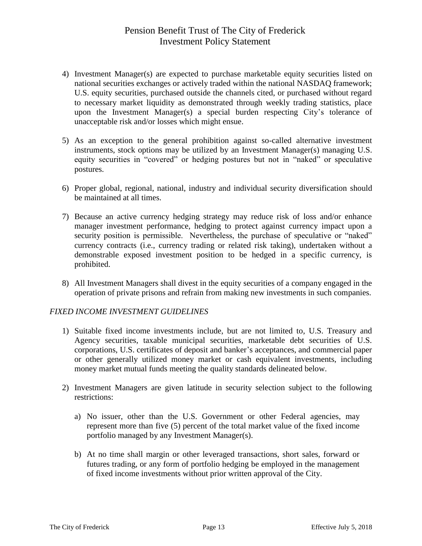- 4) Investment Manager(s) are expected to purchase marketable equity securities listed on national securities exchanges or actively traded within the national NASDAQ framework; U.S. equity securities, purchased outside the channels cited, or purchased without regard to necessary market liquidity as demonstrated through weekly trading statistics, place upon the Investment Manager(s) a special burden respecting City's tolerance of unacceptable risk and/or losses which might ensue.
- 5) As an exception to the general prohibition against so-called alternative investment instruments, stock options may be utilized by an Investment Manager(s) managing U.S. equity securities in "covered" or hedging postures but not in "naked" or speculative postures.
- 6) Proper global, regional, national, industry and individual security diversification should be maintained at all times.
- 7) Because an active currency hedging strategy may reduce risk of loss and/or enhance manager investment performance, hedging to protect against currency impact upon a security position is permissible. Nevertheless, the purchase of speculative or "naked" currency contracts (i.e., currency trading or related risk taking), undertaken without a demonstrable exposed investment position to be hedged in a specific currency, is prohibited.
- 8) All Investment Managers shall divest in the equity securities of a company engaged in the operation of private prisons and refrain from making new investments in such companies.

### *FIXED INCOME INVESTMENT GUIDELINES*

- 1) Suitable fixed income investments include, but are not limited to, U.S. Treasury and Agency securities, taxable municipal securities, marketable debt securities of U.S. corporations, U.S. certificates of deposit and banker's acceptances, and commercial paper or other generally utilized money market or cash equivalent investments, including money market mutual funds meeting the quality standards delineated below.
- 2) Investment Managers are given latitude in security selection subject to the following restrictions:
	- a) No issuer, other than the U.S. Government or other Federal agencies, may represent more than five (5) percent of the total market value of the fixed income portfolio managed by any Investment Manager(s).
	- b) At no time shall margin or other leveraged transactions, short sales, forward or futures trading, or any form of portfolio hedging be employed in the management of fixed income investments without prior written approval of the City.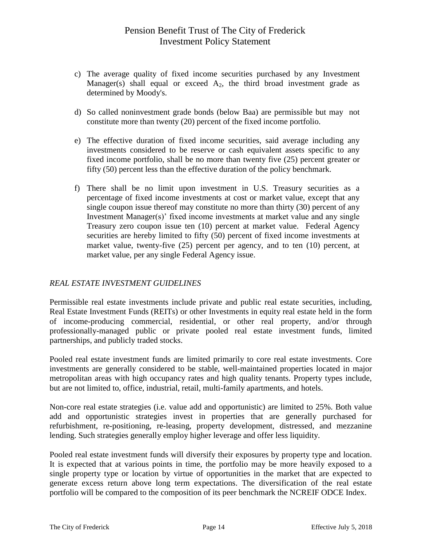- c) The average quality of fixed income securities purchased by any Investment Manager(s) shall equal or exceed  $A_2$ , the third broad investment grade as determined by Moody's.
- d) So called noninvestment grade bonds (below Baa) are permissible but may not constitute more than twenty (20) percent of the fixed income portfolio.
- e) The effective duration of fixed income securities, said average including any investments considered to be reserve or cash equivalent assets specific to any fixed income portfolio, shall be no more than twenty five (25) percent greater or fifty (50) percent less than the effective duration of the policy benchmark.
- f) There shall be no limit upon investment in U.S. Treasury securities as a percentage of fixed income investments at cost or market value, except that any single coupon issue thereof may constitute no more than thirty (30) percent of any Investment Manager(s)' fixed income investments at market value and any single Treasury zero coupon issue ten (10) percent at market value. Federal Agency securities are hereby limited to fifty (50) percent of fixed income investments at market value, twenty-five (25) percent per agency, and to ten (10) percent, at market value, per any single Federal Agency issue.

### *REAL ESTATE INVESTMENT GUIDELINES*

Permissible real estate investments include private and public real estate securities, including, Real Estate Investment Funds (REITs) or other Investments in equity real estate held in the form of income-producing commercial, residential, or other real property, and/or through professionally-managed public or private pooled real estate investment funds, limited partnerships, and publicly traded stocks.

Pooled real estate investment funds are limited primarily to core real estate investments. Core investments are generally considered to be stable, well-maintained properties located in major metropolitan areas with high occupancy rates and high quality tenants. Property types include, but are not limited to, office, industrial, retail, multi-family apartments, and hotels.

Non-core real estate strategies (i.e. value add and opportunistic) are limited to 25%. Both value add and opportunistic strategies invest in properties that are generally purchased for refurbishment, re-positioning, re-leasing, property development, distressed, and mezzanine lending. Such strategies generally employ higher leverage and offer less liquidity.

Pooled real estate investment funds will diversify their exposures by property type and location. It is expected that at various points in time, the portfolio may be more heavily exposed to a single property type or location by virtue of opportunities in the market that are expected to generate excess return above long term expectations. The diversification of the real estate portfolio will be compared to the composition of its peer benchmark the NCREIF ODCE Index.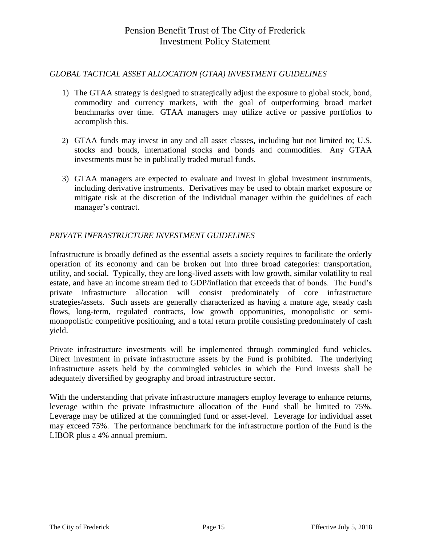#### *GLOBAL TACTICAL ASSET ALLOCATION (GTAA) INVESTMENT GUIDELINES*

- 1) The GTAA strategy is designed to strategically adjust the exposure to global stock, bond, commodity and currency markets, with the goal of outperforming broad market benchmarks over time. GTAA managers may utilize active or passive portfolios to accomplish this.
- 2) GTAA funds may invest in any and all asset classes, including but not limited to; U.S. stocks and bonds, international stocks and bonds and commodities. Any GTAA investments must be in publically traded mutual funds.
- 3) GTAA managers are expected to evaluate and invest in global investment instruments, including derivative instruments. Derivatives may be used to obtain market exposure or mitigate risk at the discretion of the individual manager within the guidelines of each manager's contract.

### *PRIVATE INFRASTRUCTURE INVESTMENT GUIDELINES*

Infrastructure is broadly defined as the essential assets a society requires to facilitate the orderly operation of its economy and can be broken out into three broad categories: transportation, utility, and social. Typically, they are long-lived assets with low growth, similar volatility to real estate, and have an income stream tied to GDP/inflation that exceeds that of bonds. The Fund's private infrastructure allocation will consist predominately of core infrastructure strategies/assets. Such assets are generally characterized as having a mature age, steady cash flows, long-term, regulated contracts, low growth opportunities, monopolistic or semimonopolistic competitive positioning, and a total return profile consisting predominately of cash yield.

Private infrastructure investments will be implemented through commingled fund vehicles. Direct investment in private infrastructure assets by the Fund is prohibited. The underlying infrastructure assets held by the commingled vehicles in which the Fund invests shall be adequately diversified by geography and broad infrastructure sector.

With the understanding that private infrastructure managers employ leverage to enhance returns, leverage within the private infrastructure allocation of the Fund shall be limited to 75%. Leverage may be utilized at the commingled fund or asset-level. Leverage for individual asset may exceed 75%. The performance benchmark for the infrastructure portion of the Fund is the LIBOR plus a 4% annual premium.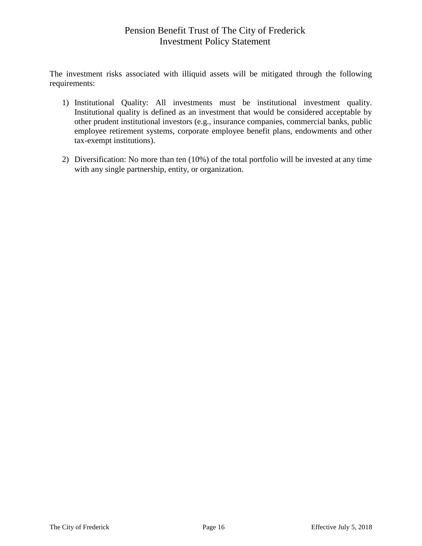The investment risks associated with illiquid assets will be mitigated through the following requirements:

- 1) Institutional Quality: All investments must be institutional investment quality. Institutional quality is defined as an investment that would be considered acceptable by other prudent institutional investors (e.g., insurance companies, commercial banks, public employee retirement systems, corporate employee benefit plans, endowments and other tax-exempt institutions).
- 2) Diversification: No more than ten (10%) of the total portfolio will be invested at any time with any single partnership, entity, or organization.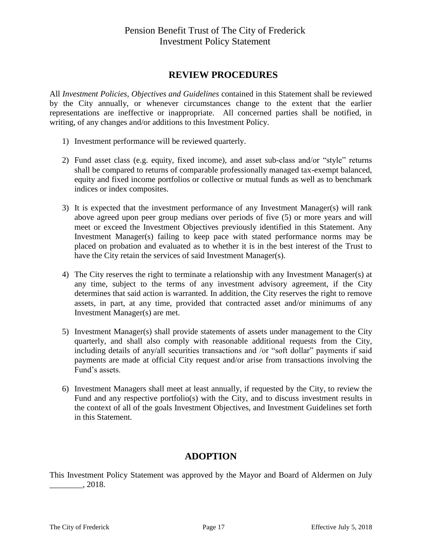### **REVIEW PROCEDURES**

All *Investment Policies, Objectives and Guidelines* contained in this Statement shall be reviewed by the City annually, or whenever circumstances change to the extent that the earlier representations are ineffective or inappropriate. All concerned parties shall be notified, in writing, of any changes and/or additions to this Investment Policy.

- 1) Investment performance will be reviewed quarterly.
- 2) Fund asset class (e.g. equity, fixed income), and asset sub-class and/or "style" returns shall be compared to returns of comparable professionally managed tax-exempt balanced, equity and fixed income portfolios or collective or mutual funds as well as to benchmark indices or index composites.
- 3) It is expected that the investment performance of any Investment Manager(s) will rank above agreed upon peer group medians over periods of five (5) or more years and will meet or exceed the Investment Objectives previously identified in this Statement. Any Investment Manager(s) failing to keep pace with stated performance norms may be placed on probation and evaluated as to whether it is in the best interest of the Trust to have the City retain the services of said Investment Manager(s).
- 4) The City reserves the right to terminate a relationship with any Investment Manager(s) at any time, subject to the terms of any investment advisory agreement, if the City determines that said action is warranted. In addition, the City reserves the right to remove assets, in part, at any time, provided that contracted asset and/or minimums of any Investment Manager(s) are met.
- 5) Investment Manager(s) shall provide statements of assets under management to the City quarterly, and shall also comply with reasonable additional requests from the City, including details of any/all securities transactions and /or "soft dollar" payments if said payments are made at official City request and/or arise from transactions involving the Fund's assets.
- 6) Investment Managers shall meet at least annually, if requested by the City, to review the Fund and any respective portfolio(s) with the City, and to discuss investment results in the context of all of the goals Investment Objectives, and Investment Guidelines set forth in this Statement.

### **ADOPTION**

This Investment Policy Statement was approved by the Mayor and Board of Aldermen on July  $\frac{1}{2018}$ .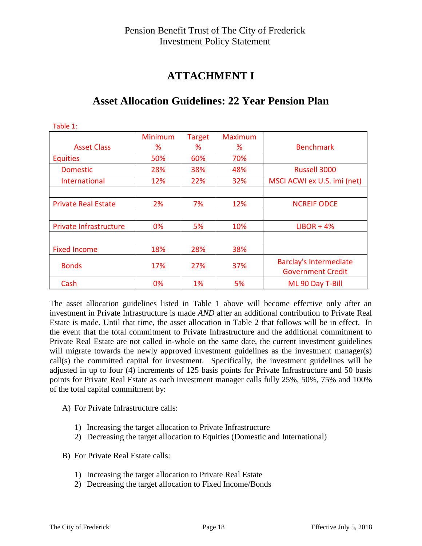## **ATTACHMENT I**

| Table 1:                      |                |               |                |                               |
|-------------------------------|----------------|---------------|----------------|-------------------------------|
|                               | <b>Minimum</b> | <b>Target</b> | <b>Maximum</b> |                               |
| <b>Asset Class</b>            | ℅              | %             | ℅              | <b>Benchmark</b>              |
| <b>Equities</b>               | 50%            | 60%           | 70%            |                               |
| <b>Domestic</b>               | 28%            | 38%           | 48%            | Russell 3000                  |
| International                 | 12%            | 22%           | 32%            | MSCI ACWI ex U.S. imi (net)   |
|                               |                |               |                |                               |
| <b>Private Real Estate</b>    | 2%             | 7%            | 12%            | <b>NCREIF ODCE</b>            |
|                               |                |               |                |                               |
| <b>Private Infrastructure</b> | 0%             | 5%            | 10%            | $LIBOR + 4%$                  |
|                               |                |               |                |                               |
| <b>Fixed Income</b>           | 18%            | 28%           | 38%            |                               |
|                               |                | 27%           | 37%            | <b>Barclay's Intermediate</b> |
| <b>Bonds</b>                  | 17%            |               |                | <b>Government Credit</b>      |
| Cash                          | 0%             | $1\%$         | 5%             | ML 90 Day T-Bill              |

## **Asset Allocation Guidelines: 22 Year Pension Plan**

The asset allocation guidelines listed in Table 1 above will become effective only after an investment in Private Infrastructure is made *AND* after an additional contribution to Private Real Estate is made. Until that time, the asset allocation in Table 2 that follows will be in effect. In the event that the total commitment to Private Infrastructure and the additional commitment to Private Real Estate are not called in-whole on the same date, the current investment guidelines will migrate towards the newly approved investment guidelines as the investment manager(s) call(s) the committed capital for investment. Specifically, the investment guidelines will be adjusted in up to four (4) increments of 125 basis points for Private Infrastructure and 50 basis points for Private Real Estate as each investment manager calls fully 25%, 50%, 75% and 100% of the total capital commitment by:

- A) For Private Infrastructure calls:
	- 1) Increasing the target allocation to Private Infrastructure
	- 2) Decreasing the target allocation to Equities (Domestic and International)
- B) For Private Real Estate calls:
	- 1) Increasing the target allocation to Private Real Estate
	- 2) Decreasing the target allocation to Fixed Income/Bonds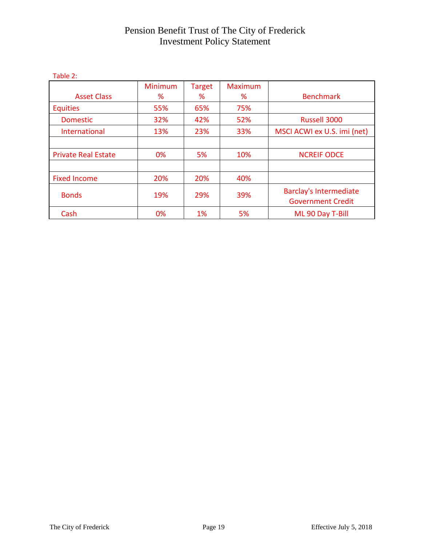| Table 2.                   |                     |                    |                     |                                                           |
|----------------------------|---------------------|--------------------|---------------------|-----------------------------------------------------------|
| <b>Asset Class</b>         | <b>Minimum</b><br>℅ | <b>Target</b><br>% | <b>Maximum</b><br>℅ | <b>Benchmark</b>                                          |
| <b>Equities</b>            | 55%                 | 65%                | 75%                 |                                                           |
| <b>Domestic</b>            | 32%                 | 42%                | 52%                 | Russell 3000                                              |
| International              | 13%                 | 23%                | 33%                 | MSCI ACWI ex U.S. imi (net)                               |
|                            |                     |                    |                     |                                                           |
| <b>Private Real Estate</b> | 0%                  | 5%                 | 10%                 | <b>NCREIF ODCE</b>                                        |
|                            |                     |                    |                     |                                                           |
| <b>Fixed Income</b>        | 20%                 | 20%                | 40%                 |                                                           |
| <b>Bonds</b>               | 19%                 | 29%                | 39%                 | <b>Barclay's Intermediate</b><br><b>Government Credit</b> |
| Cash                       | 0%                  | 1%                 | 5%                  | ML 90 Day T-Bill                                          |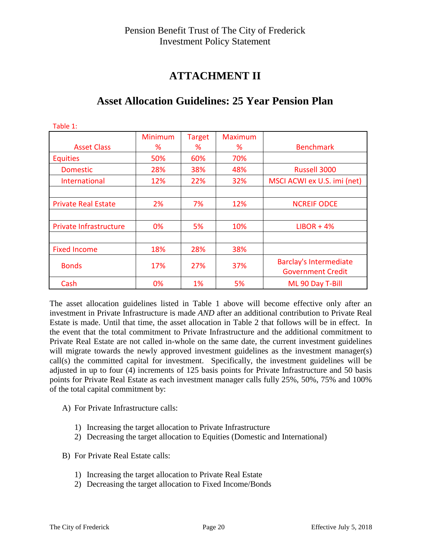## **ATTACHMENT II**

| Table 1:                      |                     |                    |                     |                                                           |
|-------------------------------|---------------------|--------------------|---------------------|-----------------------------------------------------------|
| <b>Asset Class</b>            | <b>Minimum</b><br>℅ | <b>Target</b><br>% | <b>Maximum</b><br>% | <b>Benchmark</b>                                          |
| <b>Equities</b>               | 50%                 | 60%                | 70%                 |                                                           |
| <b>Domestic</b>               | 28%                 | 38%                | 48%                 | Russell 3000                                              |
| <b>International</b>          | 12%                 | 22%                | 32%                 | MSCI ACWI ex U.S. imi (net)                               |
|                               |                     |                    |                     |                                                           |
| <b>Private Real Estate</b>    | 2%                  | 7%                 | 12%                 | <b>NCREIF ODCE</b>                                        |
|                               |                     |                    |                     |                                                           |
| <b>Private Infrastructure</b> | 0%                  | 5%                 | 10%                 | $LIBOR + 4%$                                              |
|                               |                     |                    |                     |                                                           |
| <b>Fixed Income</b>           | 18%                 | 28%                | 38%                 |                                                           |
| <b>Bonds</b>                  | 17%                 | 27%                | 37%                 | <b>Barclay's Intermediate</b><br><b>Government Credit</b> |
| Cash                          | 0%                  | $1\%$              | 5%                  | ML 90 Day T-Bill                                          |

## **Asset Allocation Guidelines: 25 Year Pension Plan**

The asset allocation guidelines listed in Table 1 above will become effective only after an investment in Private Infrastructure is made *AND* after an additional contribution to Private Real Estate is made. Until that time, the asset allocation in Table 2 that follows will be in effect. In the event that the total commitment to Private Infrastructure and the additional commitment to Private Real Estate are not called in-whole on the same date, the current investment guidelines will migrate towards the newly approved investment guidelines as the investment manager(s) call(s) the committed capital for investment. Specifically, the investment guidelines will be adjusted in up to four (4) increments of 125 basis points for Private Infrastructure and 50 basis points for Private Real Estate as each investment manager calls fully 25%, 50%, 75% and 100% of the total capital commitment by:

- A) For Private Infrastructure calls:
	- 1) Increasing the target allocation to Private Infrastructure
	- 2) Decreasing the target allocation to Equities (Domestic and International)
- B) For Private Real Estate calls:
	- 1) Increasing the target allocation to Private Real Estate
	- 2) Decreasing the target allocation to Fixed Income/Bonds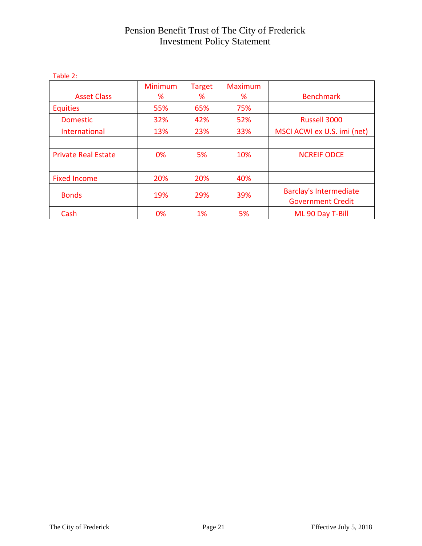| Table 2.                   |                     |                    |                     |                                                           |
|----------------------------|---------------------|--------------------|---------------------|-----------------------------------------------------------|
| <b>Asset Class</b>         | <b>Minimum</b><br>℅ | <b>Target</b><br>% | <b>Maximum</b><br>℅ | <b>Benchmark</b>                                          |
| <b>Equities</b>            | 55%                 | 65%                | 75%                 |                                                           |
| <b>Domestic</b>            | 32%                 | 42%                | 52%                 | Russell 3000                                              |
| International              | 13%                 | 23%                | 33%                 | MSCI ACWI ex U.S. imi (net)                               |
|                            |                     |                    |                     |                                                           |
| <b>Private Real Estate</b> | 0%                  | 5%                 | 10%                 | <b>NCREIF ODCE</b>                                        |
|                            |                     |                    |                     |                                                           |
| <b>Fixed Income</b>        | 20%                 | 20%                | 40%                 |                                                           |
| <b>Bonds</b>               | 19%                 | 29%                | 39%                 | <b>Barclay's Intermediate</b><br><b>Government Credit</b> |
| Cash                       | 0%                  | 1%                 | 5%                  | ML 90 Day T-Bill                                          |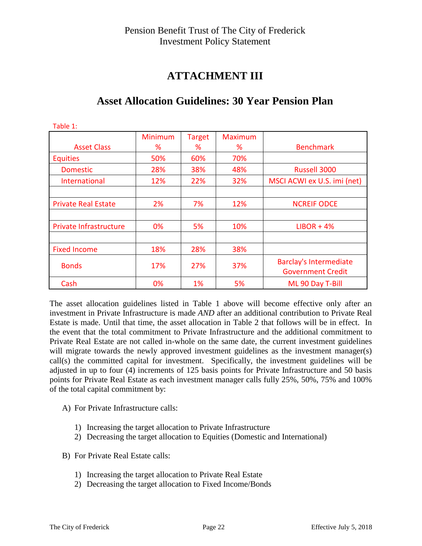## **ATTACHMENT III**

| Table 1:                      |                     |                    |                     |                                                           |
|-------------------------------|---------------------|--------------------|---------------------|-----------------------------------------------------------|
| <b>Asset Class</b>            | <b>Minimum</b><br>% | <b>Target</b><br>% | <b>Maximum</b><br>% | <b>Benchmark</b>                                          |
| <b>Equities</b>               | 50%                 | 60%                | 70%                 |                                                           |
| <b>Domestic</b>               | 28%                 | 38%                | 48%                 | Russell 3000                                              |
| International                 | 12%                 | 22%                | 32%                 | MSCI ACWI ex U.S. imi (net)                               |
|                               |                     |                    |                     |                                                           |
| <b>Private Real Estate</b>    | 2%                  | 7%                 | 12%                 | <b>NCREIF ODCE</b>                                        |
|                               |                     |                    |                     |                                                           |
| <b>Private Infrastructure</b> | 0%                  | 5%                 | 10%                 | $LIBOR + 4%$                                              |
|                               |                     |                    |                     |                                                           |
| <b>Fixed Income</b>           | 18%                 | 28%                | 38%                 |                                                           |
| <b>Bonds</b>                  | 17%                 | 27%                | 37%                 | <b>Barclay's Intermediate</b><br><b>Government Credit</b> |
| Cash                          | 0%                  | 1%                 | 5%                  | ML 90 Day T-Bill                                          |

## **Asset Allocation Guidelines: 30 Year Pension Plan**

The asset allocation guidelines listed in Table 1 above will become effective only after an investment in Private Infrastructure is made *AND* after an additional contribution to Private Real Estate is made. Until that time, the asset allocation in Table 2 that follows will be in effect. In the event that the total commitment to Private Infrastructure and the additional commitment to Private Real Estate are not called in-whole on the same date, the current investment guidelines will migrate towards the newly approved investment guidelines as the investment manager(s) call(s) the committed capital for investment. Specifically, the investment guidelines will be adjusted in up to four (4) increments of 125 basis points for Private Infrastructure and 50 basis points for Private Real Estate as each investment manager calls fully 25%, 50%, 75% and 100% of the total capital commitment by:

- A) For Private Infrastructure calls:
	- 1) Increasing the target allocation to Private Infrastructure
	- 2) Decreasing the target allocation to Equities (Domestic and International)
- B) For Private Real Estate calls:
	- 1) Increasing the target allocation to Private Real Estate
	- 2) Decreasing the target allocation to Fixed Income/Bonds